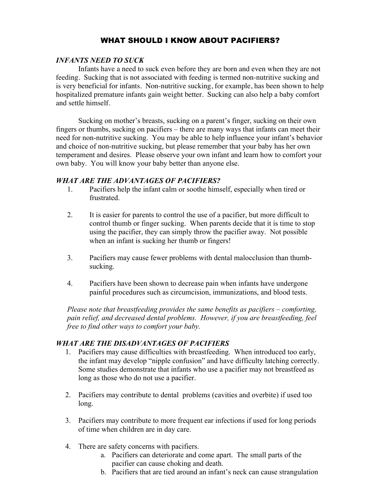# WHAT SHOULD I KNOW ABOUT PACIFIERS?

#### *INFANTS NEED TO SUCK*

Infants have a need to suck even before they are born and even when they are not feeding. Sucking that is not associated with feeding is termed non-nutritive sucking and is very beneficial for infants. Non-nutritive sucking, for example, has been shown to help hospitalized premature infants gain weight better. Sucking can also help a baby comfort and settle himself.

Sucking on mother's breasts, sucking on a parent's finger, sucking on their own fingers or thumbs, sucking on pacifiers – there are many ways that infants can meet their need for non-nutritive sucking. You may be able to help influence your infant's behavior and choice of non-nutritive sucking, but please remember that your baby has her own temperament and desires. Please observe your own infant and learn how to comfort your own baby. You will know your baby better than anyone else.

#### *WHAT ARE THE ADVANTAGES OF PACIFIERS?*

- 1. Pacifiers help the infant calm or soothe himself, especially when tired or frustrated.
- 2. It is easier for parents to control the use of a pacifier, but more difficult to control thumb or finger sucking. When parents decide that it is time to stop using the pacifier, they can simply throw the pacifier away. Not possible when an infant is sucking her thumb or fingers!
- 3. Pacifiers may cause fewer problems with dental malocclusion than thumbsucking.
- 4. Pacifiers have been shown to decrease pain when infants have undergone painful procedures such as circumcision, immunizations, and blood tests.

*Please note that breastfeeding provides the same benefits as pacifiers – comforting, pain relief, and decreased dental problems. However, if you are breastfeeding, feel free to find other ways to comfort your baby.*

### *WHAT ARE THE DISADVANTAGES OF PACIFIERS*

- 1. Pacifiers may cause difficulties with breastfeeding. When introduced too early, the infant may develop "nipple confusion" and have difficulty latching correctly. Some studies demonstrate that infants who use a pacifier may not breastfeed as long as those who do not use a pacifier.
- 2. Pacifiers may contribute to dental problems (cavities and overbite) if used too long.
- 3. Pacifiers may contribute to more frequent ear infections if used for long periods of time when children are in day care.
- 4. There are safety concerns with pacifiers.
	- a. Pacifiers can deteriorate and come apart. The small parts of the pacifier can cause choking and death.
	- b. Pacifiers that are tied around an infant's neck can cause strangulation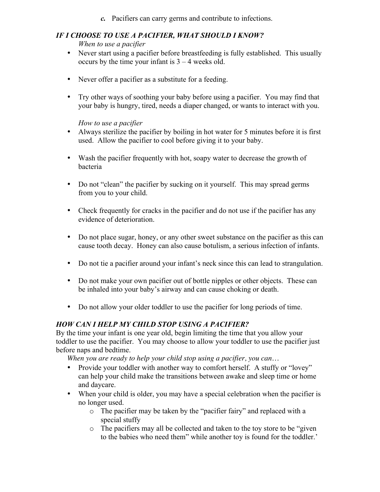*c.* Pacifiers can carry germs and contribute to infections.

### *IF I CHOOSE TO USE A PACIFIER, WHAT SHOULD I KNOW? When to use a pacifier*

- Never start using a pacifier before breastfeeding is fully established. This usually occurs by the time your infant is  $3 - 4$  weeks old.
- Never offer a pacifier as a substitute for a feeding.
- Try other ways of soothing your baby before using a pacifier. You may find that your baby is hungry, tired, needs a diaper changed, or wants to interact with you.

## *How to use a pacifier*

- Always sterilize the pacifier by boiling in hot water for 5 minutes before it is first used. Allow the pacifier to cool before giving it to your baby.
- Wash the pacifier frequently with hot, soapy water to decrease the growth of bacteria
- Do not "clean" the pacifier by sucking on it yourself. This may spread germs from you to your child.
- Check frequently for cracks in the pacifier and do not use if the pacifier has any evidence of deterioration.
- Do not place sugar, honey, or any other sweet substance on the pacifier as this can cause tooth decay. Honey can also cause botulism, a serious infection of infants.
- Do not tie a pacifier around your infant's neck since this can lead to strangulation.
- Do not make your own pacifier out of bottle nipples or other objects. These can be inhaled into your baby's airway and can cause choking or death.
- Do not allow your older toddler to use the pacifier for long periods of time.

# *HOW CAN I HELP MY CHILD STOP USING A PACIFIER?*

By the time your infant is one year old, begin limiting the time that you allow your toddler to use the pacifier. You may choose to allow your toddler to use the pacifier just before naps and bedtime.

*When you are ready to help your child stop using a pacifier, you can…*

- Provide your toddler with another way to comfort herself. A stuffy or "lovey" can help your child make the transitions between awake and sleep time or home and daycare.
- When your child is older, you may have a special celebration when the pacifier is no longer used.
	- o The pacifier may be taken by the "pacifier fairy" and replaced with a special stuffy
	- o The pacifiers may all be collected and taken to the toy store to be "given to the babies who need them" while another toy is found for the toddler.'